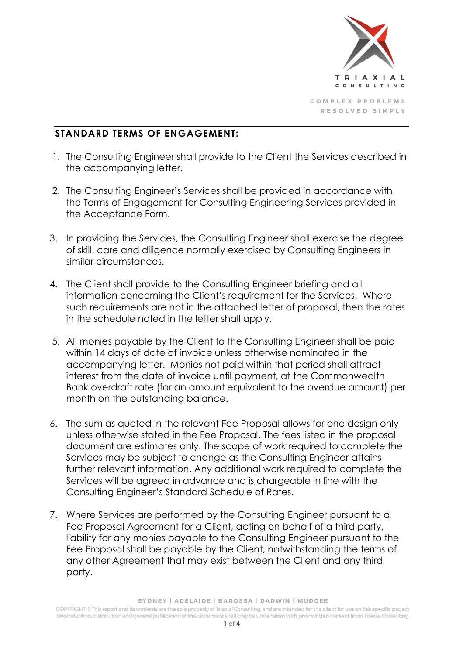

## **STANDARD TERMS OF ENGAGEMENT:**

- 1. The Consulting Engineer shall provide to the Client the Services described in the accompanying letter.
- 2. The Consulting Engineer's Services shall be provided in accordance with the Terms of Engagement for Consulting Engineering Services provided in the Acceptance Form.
- 3. In providing the Services, the Consulting Engineer shall exercise the degree of skill, care and diligence normally exercised by Consulting Engineers in similar circumstances.
- 4. The Client shall provide to the Consulting Engineer briefing and all information concerning the Client's requirement for the Services. Where such requirements are not in the attached letter of proposal, then the rates in the schedule noted in the letter shall apply.
- 5. All monies payable by the Client to the Consulting Engineer shall be paid within 14 days of date of invoice unless otherwise nominated in the accompanying letter. Monies not paid within that period shall attract interest from the date of invoice until payment, at the Commonwealth Bank overdraft rate (for an amount equivalent to the overdue amount) per month on the outstanding balance.
- 6. The sum as quoted in the relevant Fee Proposal allows for one design only unless otherwise stated in the Fee Proposal. The fees listed in the proposal document are estimates only. The scope of work required to complete the Services may be subject to change as the Consulting Engineer attains further relevant information. Any additional work required to complete the Services will be agreed in advance and is chargeable in line with the Consulting Engineer's Standard Schedule of Rates.
- 7. Where Services are performed by the Consulting Engineer pursuant to a Fee Proposal Agreement for a Client, acting on behalf of a third party, liability for any monies payable to the Consulting Engineer pursuant to the Fee Proposal shall be payable by the Client, notwithstanding the terms of any other Agreement that may exist between the Client and any third party.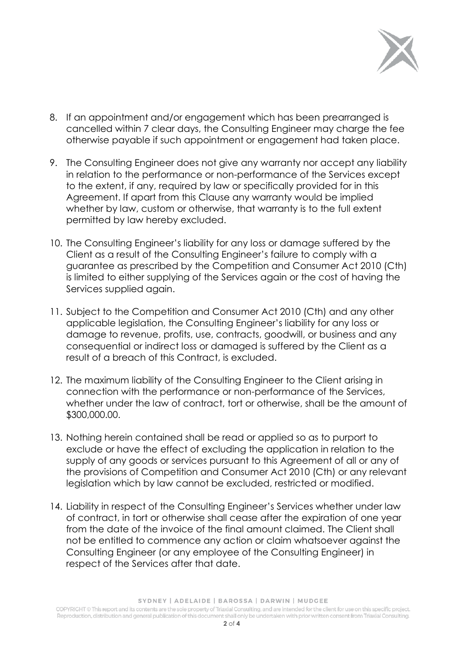

- 8. If an appointment and/or engagement which has been prearranged is cancelled within 7 clear days, the Consulting Engineer may charge the fee otherwise payable if such appointment or engagement had taken place.
- 9. The Consulting Engineer does not give any warranty nor accept any liability in relation to the performance or non-performance of the Services except to the extent, if any, required by law or specifically provided for in this Agreement. If apart from this Clause any warranty would be implied whether by law, custom or otherwise, that warranty is to the full extent permitted by law hereby excluded.
- 10. The Consulting Engineer's liability for any loss or damage suffered by the Client as a result of the Consulting Engineer's failure to comply with a guarantee as prescribed by the Competition and Consumer Act 2010 (Cth) is limited to either supplying of the Services again or the cost of having the Services supplied again.
- 11. Subject to the Competition and Consumer Act 2010 (Cth) and any other applicable legislation, the Consulting Engineer's liability for any loss or damage to revenue, profits, use, contracts, goodwill, or business and any consequential or indirect loss or damaged is suffered by the Client as a result of a breach of this Contract, is excluded.
- 12. The maximum liability of the Consulting Engineer to the Client arising in connection with the performance or non-performance of the Services, whether under the law of contract, tort or otherwise, shall be the amount of \$300,000.00.
- 13. Nothing herein contained shall be read or applied so as to purport to exclude or have the effect of excluding the application in relation to the supply of any goods or services pursuant to this Agreement of all or any of the provisions of Competition and Consumer Act 2010 (Cth) or any relevant legislation which by law cannot be excluded, restricted or modified.
- 14. Liability in respect of the Consulting Engineer's Services whether under law of contract, in tort or otherwise shall cease after the expiration of one year from the date of the invoice of the final amount claimed. The Client shall not be entitled to commence any action or claim whatsoever against the Consulting Engineer (or any employee of the Consulting Engineer) in respect of the Services after that date.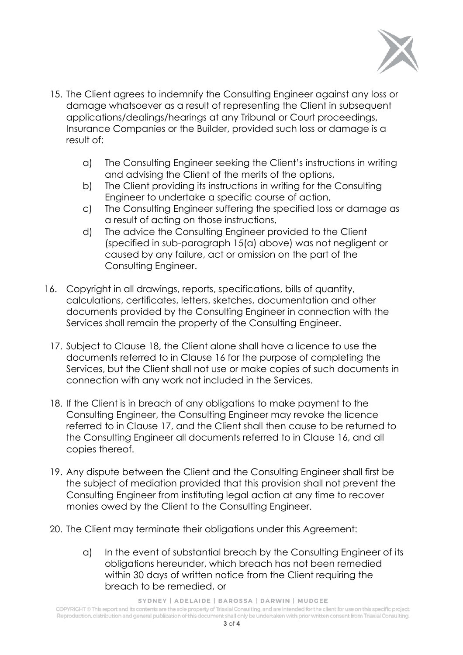

- 15. The Client agrees to indemnify the Consulting Engineer against any loss or damage whatsoever as a result of representing the Client in subsequent applications/dealings/hearings at any Tribunal or Court proceedings, Insurance Companies or the Builder, provided such loss or damage is a result of:
	- a) The Consulting Engineer seeking the Client's instructions in writing and advising the Client of the merits of the options,
	- b) The Client providing its instructions in writing for the Consulting Engineer to undertake a specific course of action,
	- c) The Consulting Engineer suffering the specified loss or damage as a result of acting on those instructions,
	- d) The advice the Consulting Engineer provided to the Client (specified in sub-paragraph 15(a) above) was not negligent or caused by any failure, act or omission on the part of the Consulting Engineer.
- 16. Copyright in all drawings, reports, specifications, bills of quantity, calculations, certificates, letters, sketches, documentation and other documents provided by the Consulting Engineer in connection with the Services shall remain the property of the Consulting Engineer.
	- 17. Subject to Clause 18, the Client alone shall have a licence to use the documents referred to in Clause 16 for the purpose of completing the Services, but the Client shall not use or make copies of such documents in connection with any work not included in the Services.
	- 18. If the Client is in breach of any obligations to make payment to the Consulting Engineer, the Consulting Engineer may revoke the licence referred to in Clause 17, and the Client shall then cause to be returned to the Consulting Engineer all documents referred to in Clause 16, and all copies thereof.
	- 19. Any dispute between the Client and the Consulting Engineer shall first be the subject of mediation provided that this provision shall not prevent the Consulting Engineer from instituting legal action at any time to recover monies owed by the Client to the Consulting Engineer.
	- 20. The Client may terminate their obligations under this Agreement:
		- a) In the event of substantial breach by the Consulting Engineer of its obligations hereunder, which breach has not been remedied within 30 days of written notice from the Client requiring the breach to be remedied, or

SYDNEY | ADELAIDE | BAROSSA | DARWIN | MUDGEE